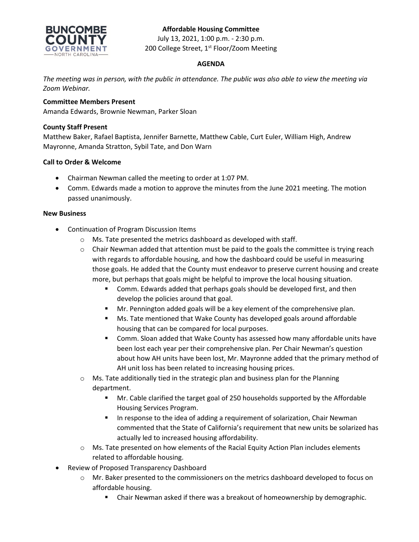# **Affordable Housing Committee**



July 13, 2021, 1:00 p.m. - 2:30 p.m. 200 College Street, 1<sup>st</sup> Floor/Zoom Meeting

## **AGENDA**

*The meeting was in person, with the public in attendance. The public was also able to view the meeting via Zoom Webinar.*

### **Committee Members Present**

Amanda Edwards, Brownie Newman, Parker Sloan

### **County Staff Present**

Matthew Baker, Rafael Baptista, Jennifer Barnette, Matthew Cable, Curt Euler, William High, Andrew Mayronne, Amanda Stratton, Sybil Tate, and Don Warn

### **Call to Order & Welcome**

- Chairman Newman called the meeting to order at 1:07 PM.
- Comm. Edwards made a motion to approve the minutes from the June 2021 meeting. The motion passed unanimously.

### **New Business**

- Continuation of Program Discussion Items
	- o Ms. Tate presented the metrics dashboard as developed with staff.
	- o Chair Newman added that attention must be paid to the goals the committee is trying reach with regards to affordable housing, and how the dashboard could be useful in measuring those goals. He added that the County must endeavor to preserve current housing and create more, but perhaps that goals might be helpful to improve the local housing situation.
		- **EXTER** Comm. Edwards added that perhaps goals should be developed first, and then develop the policies around that goal.
		- **Mr. Pennington added goals will be a key element of the comprehensive plan.**
		- **Ms. Tate mentioned that Wake County has developed goals around affordable** housing that can be compared for local purposes.
		- Comm. Sloan added that Wake County has assessed how many affordable units have been lost each year per their comprehensive plan. Per Chair Newman's question about how AH units have been lost, Mr. Mayronne added that the primary method of AH unit loss has been related to increasing housing prices.
	- $\circ$  Ms. Tate additionally tied in the strategic plan and business plan for the Planning department.
		- Mr. Cable clarified the target goal of 250 households supported by the Affordable Housing Services Program.
		- **IF** In response to the idea of adding a requirement of solarization, Chair Newman commented that the State of California's requirement that new units be solarized has actually led to increased housing affordability.
	- o Ms. Tate presented on how elements of the Racial Equity Action Plan includes elements related to affordable housing.
- Review of Proposed Transparency Dashboard
	- o Mr. Baker presented to the commissioners on the metrics dashboard developed to focus on affordable housing.
		- Chair Newman asked if there was a breakout of homeownership by demographic.